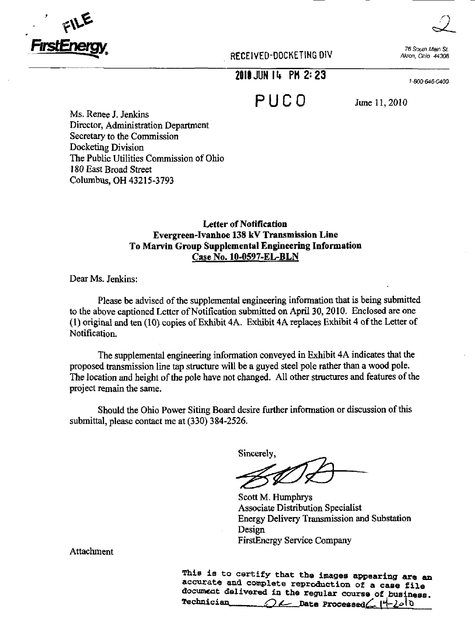

RECEIVED-DOCKETING DIV Akron, Ohio 44308

76 South Main St.

 $2010$  JUN 14  $\,$  PM 2:23.

1'800-646-0400

PUC O June 11,2010

Ms. Renee J. Jenkins Director, Administration Department Secretary to the Commission Docketing Division The Public Utilities Commission of Ohio 180 East Broad Street Columbus, OH 43215-3793

## Letter of Notification Evergreen-Ivanhoe 138 kV Transmission Line To Marvin Group Supplemental Engineering Information Case No. 10-0597-EL-BLN

Dear Ms. Jenkins:

Please be advised of the supplemental engineering information that is being submitted to the above captioned Letter of Notification submitted on April 30,2010, Enclosed are one (1) original and ten (10) copies of Exhibit 4A. Exhibit 4A replaces Exhibit 4 ofthe Letter of Notification.

The supplemental engineering information conveyed in Exhibit 4A indicates that the proposed transmission line tap structure will be a guyed steel pole rather than a wood pole. The location and height of the pole have not changed. All other structures and features of the project remain the same.

Should the Ohio Power Siting Board desire further information or discussion of this submittal, please contact me at (330) 384-2526.

Sincerely

Scott M. Humphrys Associate Distribution Specialist Energy Delivery Transmission and Substation Design FirstEnergy Service Company

Attachment

This is to certify that the images appearing are an accurate and complete reproduction of a case file document delivered in the regular course of business.<br>Technician  $\bigcap$   $\bigcup$  Date Processed (4-)old  $OL$  Date Processed $C$   $|4-2010$